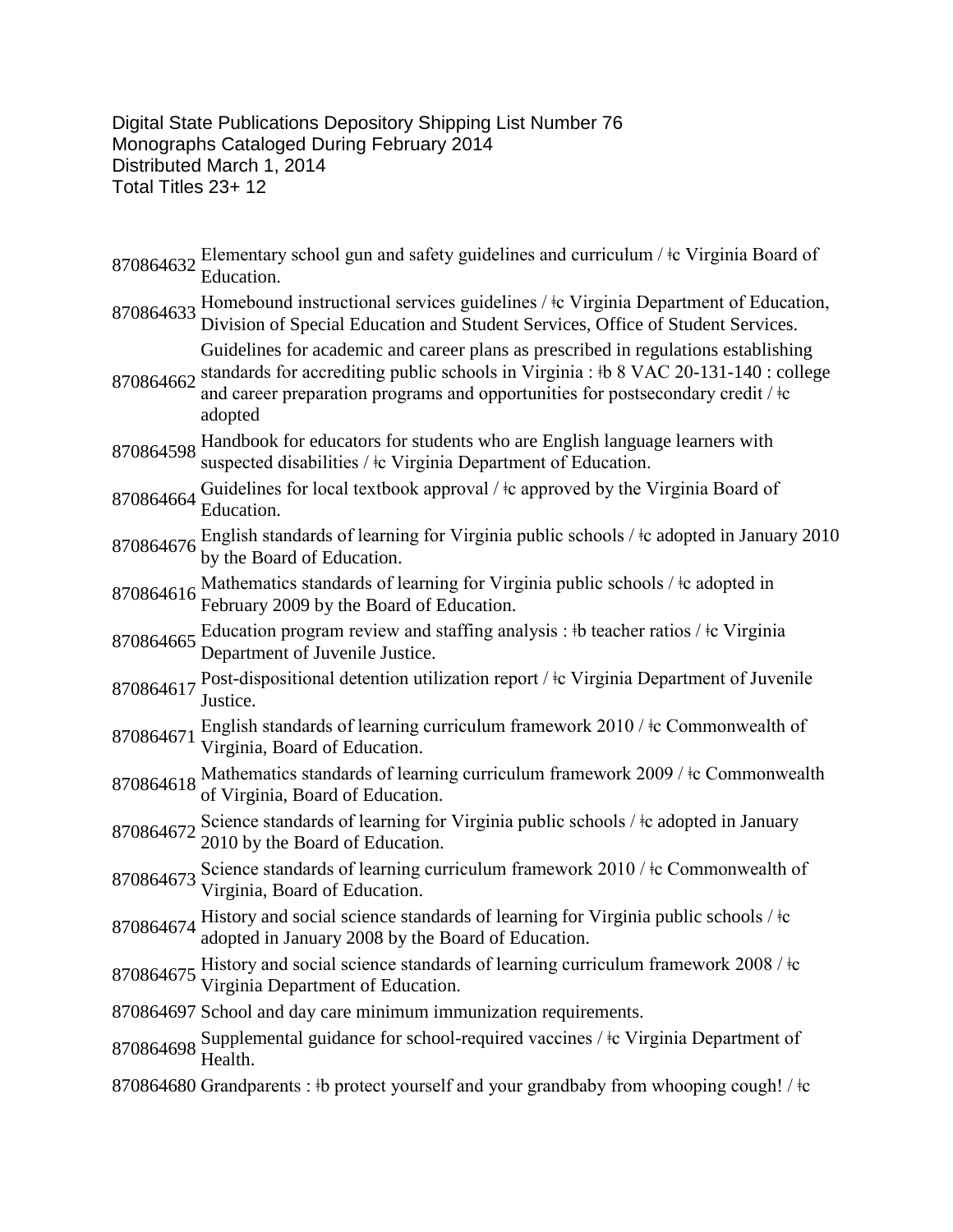Digital State Publications Depository Shipping List Number 76 Monographs Cataloged During February 2014 Distributed March 1, 2014 Total Titles 23+ 12

- 870864632 Elementary school gun and safety guidelines and curriculum / ‡c Virginia Board of Education.
- 870864633 Homebound instructional services guidelines /  $\frac{1}{2}$ c Virginia Department of Education, Division of Special Education and Student Services, Office of Student Services.

Guidelines for academic and career plans as prescribed in regulations establishing standards for accrediting public schools in Virginia :  $\frac{1}{2}$  8 VAC 20-131-140 : college

- 870864662 and career preparation programs and opportunities for postsecondary credit / ǂc adopted
- <sup>870864598</sup> Handbook for educators for students who are English language learners with suspected disabilities /  $\pm c$  Virginia Department of Education.
- 870864664 Guidelines for local textbook approval  $/$   $\pm$ c approved by the Virginia Board of Education.
- 870864676 English standards of learning for Virginia public schools / ‡c adopted in January 2010 by the Board of Education.
- 870864616 Mathematics standards of learning for Virginia public schools /  $\frac{1}{2}$  adopted in February 2009 by the Board of Education.
- 870864665 Education program review and staffing analysis : ‡b teacher ratios / ‡c Virginia Department of Juvenile Justice.
- 870864617 Post-dispositional detention utilization report / ‡c Virginia Department of Juvenile Justice.
- 870864671 English standards of learning curriculum framework 2010 /  $\pm$ c Commonwealth of Virginia, Board of Education.
- 870864618 Mathematics standards of learning curriculum framework 2009 /  $\frac{1}{2}$  Commonwealth of Virginia, Board of Education.
- 870864672 Science standards of learning for Virginia public schools /  $\pm$ c adopted in January 2010 by the Board of Education.
- 870864673 Science standards of learning curriculum framework 2010 /  $\pm$ c Commonwealth of Virginia, Board of Education.
- 870864674 History and social science standards of learning for Virginia public schools /  $\pm$ c adopted in January 2008 by the Board of Education.
- 870864675 History and social science standards of learning curriculum framework 2008 /  $\frac{1}{2}$ c Virginia Department of Education.
- 870864697 School and day care minimum immunization requirements.
- <sup>870864698</sup> Supplemental guidance for school-required vaccines / ǂc Virginia Department of Health.
- 870864680 Grandparents : ‡b protect yourself and your grandbaby from whooping cough! / ‡c